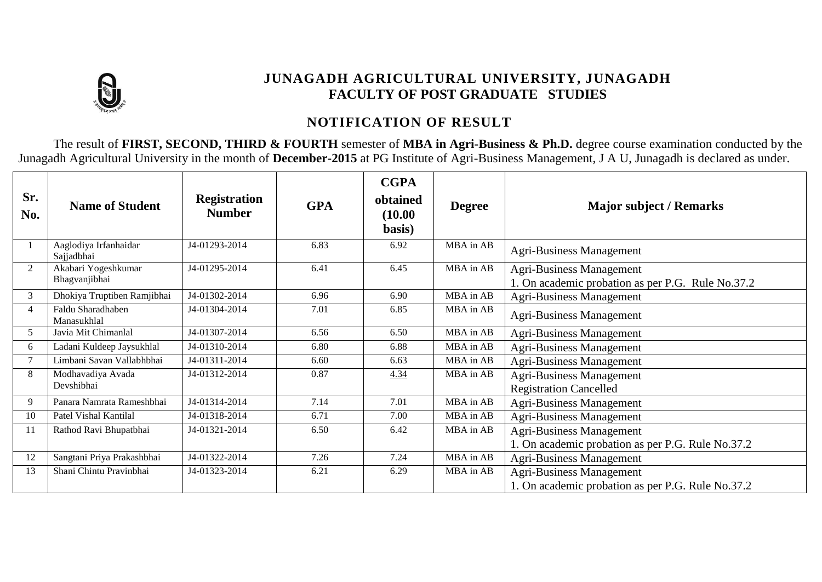

## **JUNAGADH AGRICULTURAL UNIVERSITY, JUNAGADH FACULTY OF POST GRADUATE STUDIES**

## **NOTIFICATION OF RESULT**

The result of **FIRST, SECOND, THIRD & FOURTH** semester of **MBA in Agri-Business & Ph.D.** degree course examination conducted by the Junagadh Agricultural University in the month of **December-2015** at PG Institute of Agri-Business Management, J A U, Junagadh is declared as under.

| Sr.<br>No.     | <b>Name of Student</b>               | <b>Registration</b><br><b>Number</b> | <b>GPA</b> | <b>CGPA</b><br>obtained<br>(10.00)<br>basis) | <b>Degree</b> | <b>Major subject / Remarks</b>                                                       |
|----------------|--------------------------------------|--------------------------------------|------------|----------------------------------------------|---------------|--------------------------------------------------------------------------------------|
|                | Aaglodiya Irfanhaidar<br>Sajjadbhai  | J4-01293-2014                        | 6.83       | 6.92                                         | MBA in AB     | <b>Agri-Business Management</b>                                                      |
| 2              | Akabari Yogeshkumar<br>Bhagvanjibhai | J4-01295-2014                        | 6.41       | 6.45                                         | MBA in AB     | <b>Agri-Business Management</b><br>1. On academic probation as per P.G. Rule No.37.2 |
| 3              | Dhokiya Truptiben Ramjibhai          | J4-01302-2014                        | 6.96       | 6.90                                         | MBA in AB     | <b>Agri-Business Management</b>                                                      |
| $\overline{4}$ | Faldu Sharadhaben<br>Manasukhlal     | J4-01304-2014                        | 7.01       | 6.85                                         | MBA in AB     | <b>Agri-Business Management</b>                                                      |
| 5              | Javia Mit Chimanlal                  | J4-01307-2014                        | 6.56       | 6.50                                         | MBA in AB     | <b>Agri-Business Management</b>                                                      |
| 6              | Ladani Kuldeep Jaysukhlal            | J4-01310-2014                        | 6.80       | 6.88                                         | MBA in AB     | <b>Agri-Business Management</b>                                                      |
| 7              | Limbani Savan Vallabhbhai            | J4-01311-2014                        | 6.60       | 6.63                                         | MBA in AB     | <b>Agri-Business Management</b>                                                      |
| 8              | Modhavadiya Avada                    | J4-01312-2014                        | 0.87       | 4.34                                         | MBA in AB     | <b>Agri-Business Management</b>                                                      |
|                | Devshibhai                           |                                      |            |                                              |               | <b>Registration Cancelled</b>                                                        |
| 9              | Panara Namrata Rameshbhai            | J4-01314-2014                        | 7.14       | 7.01                                         | MBA in AB     | <b>Agri-Business Management</b>                                                      |
| 10             | Patel Vishal Kantilal                | J4-01318-2014                        | 6.71       | 7.00                                         | MBA in AB     | <b>Agri-Business Management</b>                                                      |
| 11             | Rathod Ravi Bhupatbhai               | J4-01321-2014                        | 6.50       | 6.42                                         | MBA in AB     | <b>Agri-Business Management</b>                                                      |
|                |                                      |                                      |            |                                              |               | 1. On academic probation as per P.G. Rule No.37.2                                    |
| 12             | Sangtani Priya Prakashbhai           | J4-01322-2014                        | 7.26       | 7.24                                         | MBA in AB     | <b>Agri-Business Management</b>                                                      |
| 13             | Shani Chintu Pravinbhai              | J4-01323-2014                        | 6.21       | 6.29                                         | MBA in AB     | <b>Agri-Business Management</b>                                                      |
|                |                                      |                                      |            |                                              |               | 1. On academic probation as per P.G. Rule No.37.2                                    |